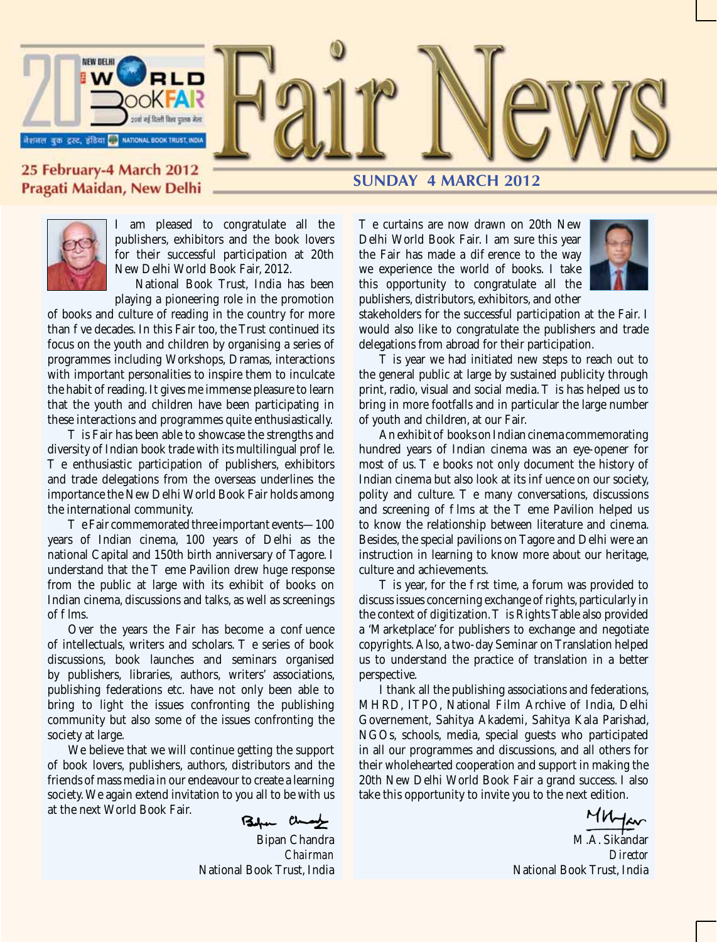

#### 25 February-4 March 2012 Pragati Maidan, New Delhi



I am pleased to congratulate all the publishers, exhibitors and the book lovers for their successful participation at 20th New Delhi World Book Fair, 2012.

National Book Trust, India has been playing a pioneering role in the promotion

of books and culture of reading in the country for more than ve decades. In this Fair too, the Trust continued its focus on the youth and children by organising a series of programmes including Workshops, Dramas, interactions with important personalities to inspire them to inculcate the habit of reading. It gives me immense pleasure to learn that the youth and children have been participating in these interactions and programmes quite enthusiastically.

is Fair has been able to showcase the strengths and diversity of Indian book trade with its multilingual pro le.

e enthusiastic participation of publishers, exhibitors and trade delegations from the overseas underlines the importance the New Delhi World Book Fair holds among the international community.

e Fair commemorated three important events—100 years of Indian cinema, 100 years of Delhi as the national Capital and 150th birth anniversary of Tagore. I<br>understand that the eme Pavilion drew huge response eme Pavilion drew huge response from the public at large with its exhibit of books on Indian cinema, discussions and talks, as well as screenings of lms.

Over the years the Fair has become a con uence of intellectuals, writers and scholars. The series of book discussions, book launches and seminars organised by publishers, libraries, authors, writers' associations, publishing federations etc. have not only been able to bring to light the issues confronting the publishing community but also some of the issues confronting the society at large.

We believe that we will continue getting the support of book lovers, publishers, authors, distributors and the friends of mass media in our endeavour to create a learning society. We again extend invitation to you all to be with us at the next World Book Fair.

Befor Change

Bipan Chandra *Chairman* National Book Trust, India

# **SUNDAY 4 MARCH 2012**

e curtains are now drawn on 20th New Delhi World Book Fair. I am sure this year the Fair has made a di erence to the way we experience the world of books. I take this opportunity to congratulate all the publishers, distributors, exhibitors, and other



stakeholders for the successful participation at the Fair. I would also like to congratulate the publishers and trade delegations from abroad for their participation.

is year we had initiated new steps to reach out to the general public at large by sustained publicity through print, radio, visual and social media. is has helped us to bring in more footfalls and in particular the large number of youth and children, at our Fair.

An exhibit of books on Indian cinema commemorating hundred years of Indian cinema was an eye-opener for most of us. e books not only document the history of e books not only document the history of Indian cinema but also look at its in uence on our society,<br>polity and culture. e many conversations, discussions e many conversations, discussions<br>s at the eme Pavilion helped us and screening of lms at the to know the relationship between literature and cinema. Besides, the special pavilions on Tagore and Delhi were an instruction in learning to know more about our heritage, culture and achievements.

is year, for the rst time, a forum was provided to discuss issues concerning exchange of rights, particularly in the context of digitization. is Rights Table also provided a 'Marketplace' for publishers to exchange and negotiate copyrights. Also, a two-day Seminar on Translation helped us to understand the practice of translation in a better perspective.

I thank all the publishing associations and federations, MHRD, ITPO, National Film Archive of India, Delhi Governement, Sahitya Akademi, Sahitya Kala Parishad, NGOs, schools, media, special guests who participated in all our programmes and discussions, and all others for their wholehearted cooperation and support in making the 20th New Delhi World Book Fair a grand success. I also take this opportunity to invite you to the next edition.

M.A. Sikandar *Director* National Book Trust, India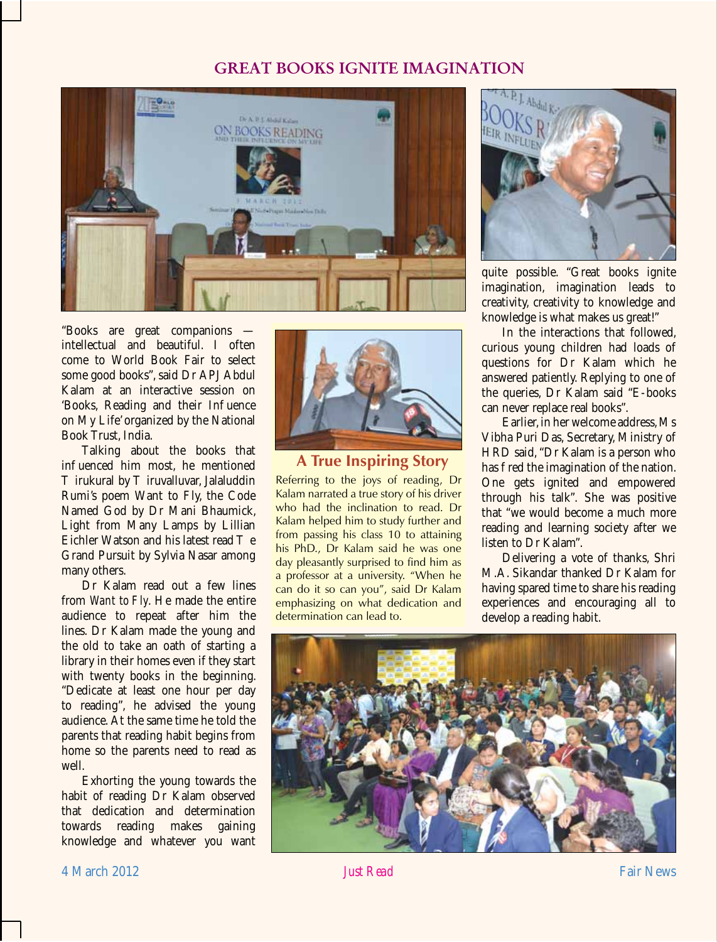### GREAT BOOKS IGNITE IMAGINATION



"Books are great companions intellectual and beautiful. I often come to World Book Fair to select some good books", said Dr APJ Abdul Kalam at an interactive session on 'Books, Reading and their In uence on My Life' organized by the National Book Trust, India.

Talking about the books that in uenced him most, he mentioned

irukural by iruvalluvar, Jalaluddin Rumi's poem Want to Fly, the Code Named God by Dr Mani Bhaumick, Light from Many Lamps by Lillian Eichler Watson and his latest read e Grand Pursuit by Sylvia Nasar among many others.

Dr Kalam read out a few lines from *Want to Fly*. He made the entire audience to repeat after him the lines. Dr Kalam made the young and the old to take an oath of starting a library in their homes even if they start with twenty books in the beginning. "Dedicate at least one hour per day to reading", he advised the young audience. At the same time he told the parents that reading habit begins from home so the parents need to read as well.

Exhorting the young towards the habit of reading Dr Kalam observed that dedication and determination towards reading makes gaining knowledge and whatever you want



#### **A True Inspiring Story**

Referring to the joys of reading, Dr Kalam narrated a true story of his driver who had the inclination to read. Dr Kalam helped him to study further and from passing his class 10 to attaining his PhD., Dr Kalam said he was one day pleasantly surprised to find him as a professor at a university. "When he can do it so can you", said Dr Kalam emphasizing on what dedication and determination can lead to.



quite possible. "Great books ignite imagination, imagination leads to creativity, creativity to knowledge and knowledge is what makes us great!"

In the interactions that followed, curious young children had loads of questions for Dr Kalam which he answered patiently. Replying to one of the queries, Dr Kalam said "E-books can never replace real books".

Earlier, in her welcome address, Ms Vibha Puri Das, Secretary, Ministry of HRD said, "Dr Kalam is a person who has red the imagination of the nation. One gets ignited and empowered through his talk". She was positive that "we would become a much more reading and learning society after we listen to Dr Kalam".

Delivering a vote of thanks, Shri M.A. Sikandar thanked Dr Kalam for having spared time to share his reading experiences and encouraging all to develop a reading habit.

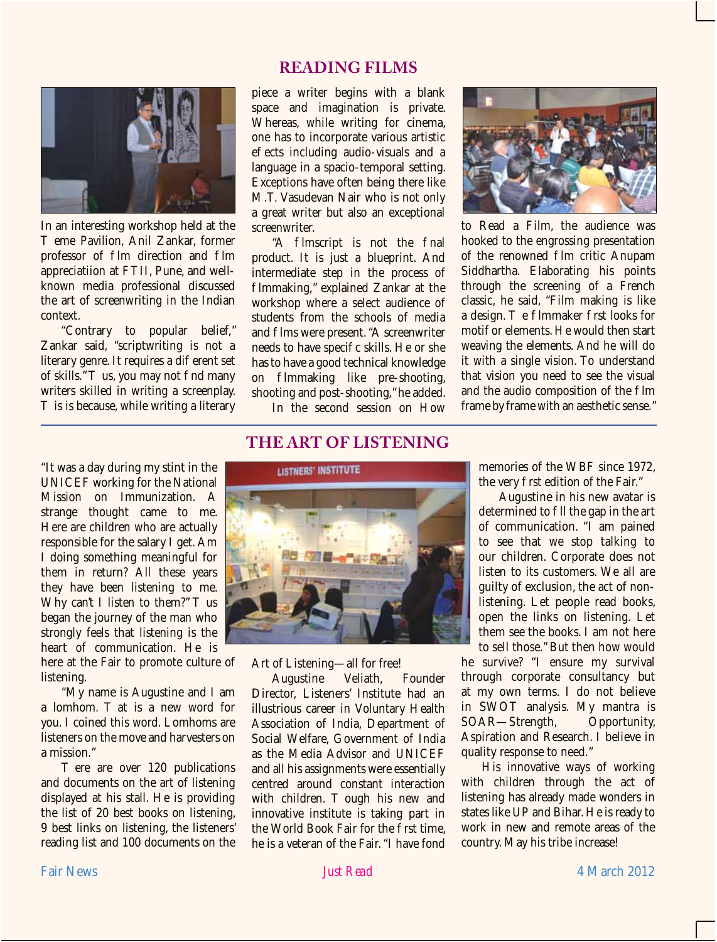### **reading films**



In an interesting workshop held at the

eme Pavilion, Anil Zankar, former professor of Im direction and Im appreciatiion at FTII, Pune, and wellknown media professional discussed the art of screenwriting in the Indian context.

"Contrary to popular belief," Zankar said, "scriptwriting is not a literary genre. It requires a di erent set<br>of skills." us, you may not nd many us, you may not nd many writers skilled in writing a screenplay.

is is because, while writing a literary

"It was a day during my stint in the UNICEF working for the National Mission on Immunization. A strange thought came to me. Here are children who are actually responsible for the salary I get. Am I doing something meaningful for them in return? All these years they have been listening to me. Why can't I listen to them?"  $\quad$  us began the journey of the man who strongly feels that listening is the heart of communication. He is

here at the Fair to promote culture of listening.

"My name is Augustine and I am<br>a lombom at is a new word for at is a new word for you. I coined this word. Lomhoms are listeners on the move and harvesters on a mission."

ere are over 120 publications and documents on the art of listening displayed at his stall. He is providing the list of 20 best books on listening, 9 best links on listening, the listeners' reading list and 100 documents on the piece a writer begins with a blank space and imagination is private. Whereas, while writing for cinema, one has to incorporate various artistic e ects including audio-visuals and a language in a spacio-temporal setting. Exceptions have often being there like M.T. Vasudevan Nair who is not only a great writer but also an exceptional screenwriter.

"A lmscript is not the nal product. It is just a blueprint. And intermediate step in the process of Immaking," explained Zankar at the workshop where a select audience of students from the schools of media and Ims were present. "A screenwriter needs to have speci c skills. He or she has to have a good technical knowledge<br>on limiting like pre-shooting. lmmaking like pre-shooting, shooting and post-shooting," he added. In the second session on How



to Read a Film, the audience was hooked to the engrossing presentation of the renowned Im critic Anupam Siddhartha. Elaborating his points through the screening of a French classic, he said, "Film making is like a design. e lmmaker rst looks for motif or elements. He would then start weaving the elements. And he will do it with a single vision. To understand that vision you need to see the visual and the audio composition of the Im frame by frame with an aesthetic sense."

#### **THE ART OF LISTENING**



Art of Listening—all for free!<br>Augustine Veliath.

Augustine Veliath, Founder Director, Listeners' Institute had an illustrious career in Voluntary Health Association of India, Department of Social Welfare, Government of India as the Media Advisor and UNICEF and all his assignments were essentially centred around constant interaction<br>with children. ough his new and ough his new and innovative institute is taking part in the World Book Fair for the rst time. he is a veteran of the Fair. "I have fond

memories of the WBF since 1972, the very rst edition of the Fair."

Augustine in his new avatar is determined to Il the gap in the art of communication. "I am pained to see that we stop talking to our children. Corporate does not listen to its customers. We all are guilty of exclusion, the act of nonlistening. Let people read books, open the links on listening. Let them see the books. I am not here to sell those." But then how would

he survive? "I ensure my survival through corporate consultancy but at my own terms. I do not believe in SWOT analysis. My mantra is<br>SOAR—Strength, Opportunity, SOAR-Strength, Aspiration and Research. I believe in quality response to need."

His innovative ways of working with children through the act of listening has already made wonders in states like UP and Bihar. He is ready to work in new and remote areas of the country. May his tribe increase!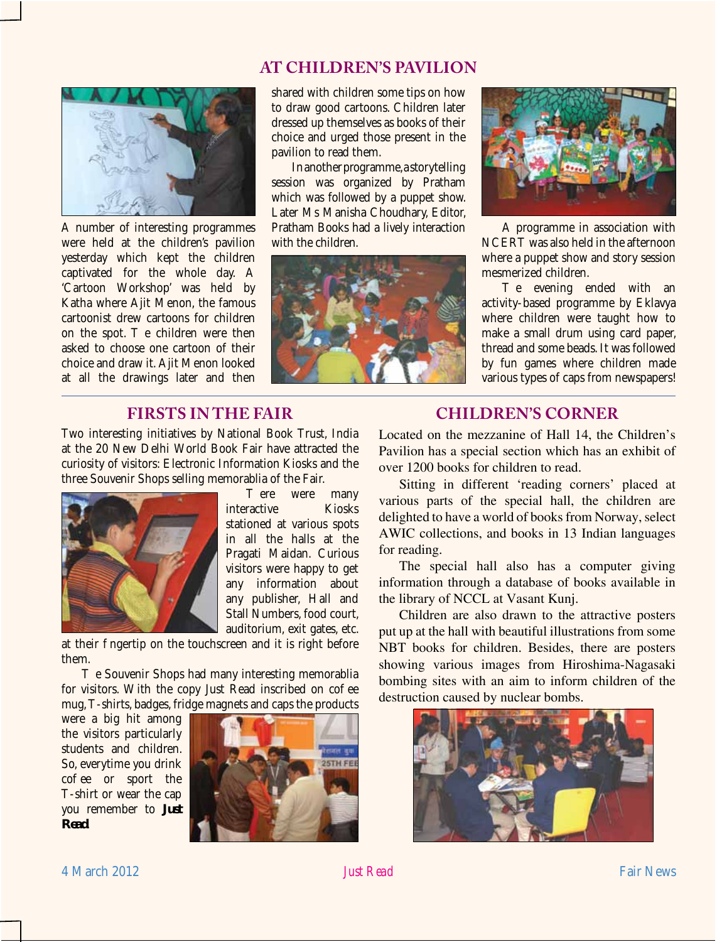## **AT CHILDREN'S PAVILION**



A number of interesting programmes were held at the children's pavilion yesterday which kept the children captivated for the whole day. A 'Cartoon Workshop' was held by Katha where Ajit Menon, the famous cartoonist drew cartoons for children e children were then asked to choose one cartoon of their choice and draw it. Ajit Menon looked at all the drawings later and then

shared with children some tips on how to draw good cartoons. Children later dressed up themselves as books of their choice and urged those present in the pavilion to read them.

In another programme, a storytelling session was organized by Pratham which was followed by a puppet show. Later Ms Manisha Choudhary, Editor, Pratham Books had a lively interaction with the children.





A programme in association with NCERT was also held in the afternoon where a puppet show and story session mesmerized children.

e evening ended with an activity-based programme by Eklavya where children were taught how to make a small drum using card paper, thread and some beads. It was followed by fun games where children made various types of caps from newspapers!

## **Firsts in the Fair**

Two interesting initiatives by National Book Trust, India at the 20 New Delhi World Book Fair have attracted the curiosity of visitors: Electronic Information Kiosks and the three Souvenir Shops selling memorablia of the Fair.



were many<br>Kiosks interactive stationed at various spots in all the halls at the Pragati Maidan. Curious visitors were happy to get any information about any publisher, Hall and Stall Numbers, food court, auditorium, exit gates, etc.

at their ngertip on the touchscreen and it is right before them.

e Souvenir Shops had many interesting memorablia for visitors. With the copy Just Read inscribed on co ee mug, T-shirts, badges, fridge magnets and caps the products

were a big hit among the visitors particularly students and children. So, everytime you drink co ee or sport the T-shirt or wear the cap you remember to *Just Read*.



# **Children's Corner**

Located on the mezzanine of Hall 14, the Children's Pavilion has a special section which has an exhibit of over 1200 books for children to read.

Sitting in different 'reading corners' placed at various parts of the special hall, the children are delighted to have a world of books from Norway, select AWIC collections, and books in 13 Indian languages for reading.

The special hall also has a computer giving information through a database of books available in the library of NCCL at Vasant Kunj.

Children are also drawn to the attractive posters put up at the hall with beautiful illustrations from some NBT books for children. Besides, there are posters showing various images from Hiroshima-Nagasaki bombing sites with an aim to inform children of the destruction caused by nuclear bombs.

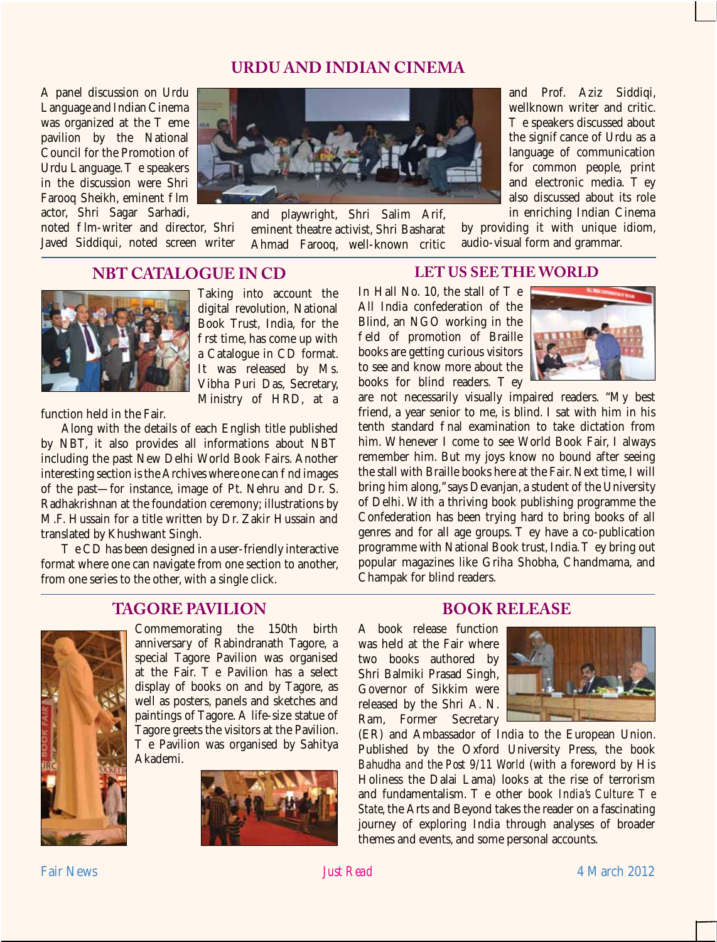# **URDU AND INDIAN CINEMA**

A panel discussion on Urdu Language and Indian Cinema<br>was organized at the eme was organized at the pavilion by the National Council for the Promotion of Urdu Language. e speakers in the discussion were Shri Farooq Sheikh, eminent Im actor, Shri Sagar Sarhadi,

noted Im-writer and director. Shri Javed Siddiqui, noted screen writer



and playwright, Shri Salim Arif, eminent theatre activist, Shri Basharat Ahmad Farooq, well-known critic and Prof. Aziz Siddiqi, wellknown writer and critic.

e speakers discussed about the signi cance of Urdu as a language of communication for common people, print<br>and electronic media. and electronic media. also discussed about its role in enriching Indian Cinema

by providing it with unique idiom, audio-visual form and grammar.

## **NBT CATALOGUE IN CD**



Taking into account the digital revolution, National Book Trust, India, for the rst time, has come up with a Catalogue in CD format. It was released by Ms. Vibha Puri Das, Secretary, Ministry of HRD, at a

function held in the Fair.

Along with the details of each English title published by NBT, it also provides all informations about NBT including the past New Delhi World Book Fairs. Another interesting section is the Archives where one can nd images of the past—for instance, image of Pt. Nehru and Dr. S. Radhakrishnan at the foundation ceremony; illustrations by M.F. Hussain for a title written by Dr. Zakir Hussain and translated by Khushwant Singh.

e CD has been designed in a user-friendly interactive format where one can navigate from one section to another, from one series to the other, with a single click.

## **TAGORE PAVILION**



Commemorating the 150th birth anniversary of Rabindranath Tagore, a special Tagore Pavilion was organised<br>at the Fair. e Pavilion has a select e Pavilion has a select display of books on and by Tagore, as well as posters, panels and sketches and paintings of Tagore. A life-size statue of Tagore greets the visitors at the Pavilion.

e Pavilion was organised by Sahitya Akademi.



#### **LET US SEE THE WORLD**

In Hall No.  $10$ , the stall of  $e$ All India confederation of the Blind, an NGO working in the eld of promotion of Braille books are getting curious visitors to see and know more about the<br>books for blind readers. ev books for blind readers.



are not necessarily visually impaired readers. "My best friend, a year senior to me, is blind. I sat with him in his tenth standard and examination to take dictation from him. Whenever I come to see World Book Fair, I always remember him. But my joys know no bound after seeing the stall with Braille books here at the Fair. Next time, I will bring him along," says Devanjan, a student of the University of Delhi. With a thriving book publishing programme the Confederation has been trying hard to bring books of all genres and for all age groups. ey have a co-publication genres and for all age groups. programme with National Book trust, India. ey bring out popular magazines like Griha Shobha, Chandmama, and Champak for blind readers.

# **BOOK RELEASE**

A book release function was held at the Fair where two books authored by Shri Balmiki Prasad Singh, Governor of Sikkim were released by the Shri A. N. Ram, Former Secretary



(ER) and Ambassador of India to the European Union. Published by the Oxford University Press, the book *Bahudha and the Post 9/11 World* (with a foreword by His Holiness the Dalai Lama) looks at the rise of terrorism<br>and fundamentalism. e other book *India's Culture:* e and fundamental fundamental culture:  $\rho$ *State*, the Arts and Beyond takes the reader on a fascinating journey of exploring India through analyses of broader themes and events, and some personal accounts.